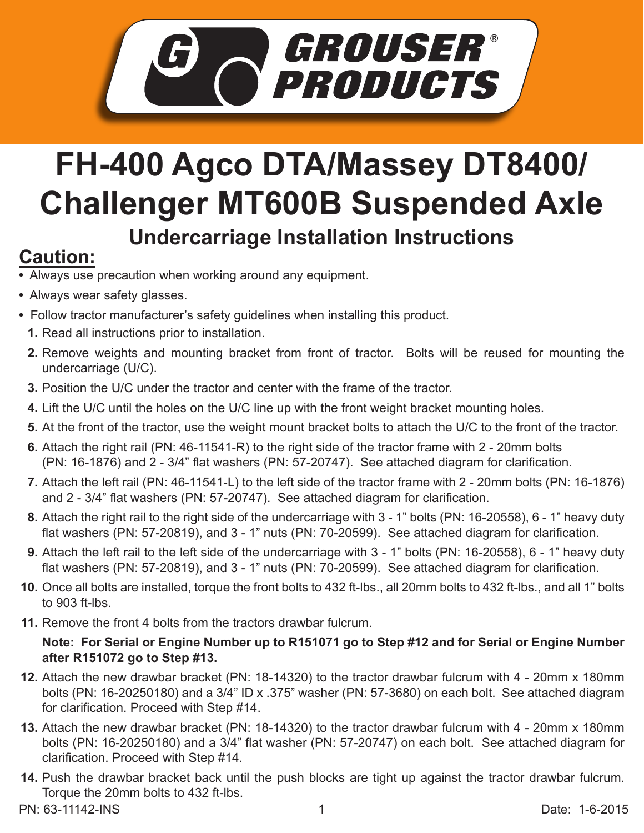

## **FH-400 Agco DTA/Massey DT8400/ Challenger MT600B Suspended Axle Undercarriage Installation Instructions**

## **Caution:**

- Always use precaution when working around any equipment.
- Always wear safety glasses.
- Follow tractor manufacturer's safety guidelines when installing this product.
	- **1.** Read all instructions prior to installation.
	- **2.** Remove weights and mounting bracket from front of tractor. Bolts will be reused for mounting the undercarriage (U/C).
	- **3.** Position the U/C under the tractor and center with the frame of the tractor.
	- Lift the U/C until the holes on the U/C line up with the front weight bracket mounting holes. **4.**
	- **5.** At the front of the tractor, use the weight mount bracket bolts to attach the U/C to the front of the tractor.
	- **6.** Attach the right rail (PN: 46-11541-R) to the right side of the tractor frame with 2 20mm bolts (PN: 16-1876) and 2 - 3/4" flat washers (PN: 57-20747). See attached diagram for clarification.
	- Attach the left rail (PN: 46-11541-L) to the left side of the tractor frame with 2 20mm bolts (PN: 16-1876) **7.** and 2 - 3/4" flat washers (PN: 57-20747). See attached diagram for clarification.
	- Attach the right rail to the right side of the undercarriage with 3 1" bolts (PN: 16-20558), 6 1" heavy duty **8.** flat washers (PN: 57-20819), and 3 - 1" nuts (PN: 70-20599). See attached diagram for clarification.
	- Attach the left rail to the left side of the undercarriage with 3 1" bolts (PN: 16-20558), 6 1" heavy duty **9.** flat washers (PN: 57-20819), and 3 - 1" nuts (PN: 70-20599). See attached diagram for clarification.
- **10.** Once all bolts are installed, torque the front bolts to 432 ft-lbs., all 20mm bolts to 432 ft-lbs., and all 1" bolts to 903 ft-lbs.
- **11.** Remove the front 4 bolts from the tractors drawbar fulcrum.

## **Note: For Serial or Engine Number up to R151071 go to Step #12 and for Serial or Engine Number after R151072 go to Step #13.**

- Attach the new drawbar bracket (PN: 18-14320) to the tractor drawbar fulcrum with 4 20mm x 180mm **12.** bolts (PN: 16-20250180) and a 3/4" ID x .375" washer (PN: 57-3680) on each bolt. See attached diagram for clarification. Proceed with Step #14.
- Attach the new drawbar bracket (PN: 18-14320) to the tractor drawbar fulcrum with 4 20mm x 180mm **13.** bolts (PN: 16-20250180) and a 3/4" flat washer (PN: 57-20747) on each bolt. See attached diagram for clarification. Proceed with Step #14.
- 14. Push the drawbar bracket back until the push blocks are tight up against the tractor drawbar fulcrum. Torque the 20mm bolts to 432 ft-lbs.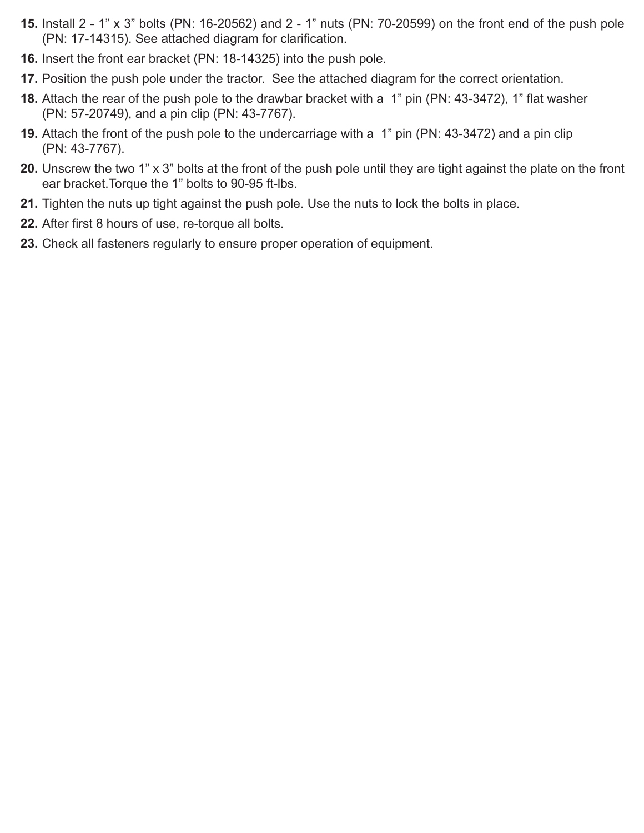- **15.** Install 2 1" x 3" bolts (PN: 16-20562) and 2 1" nuts (PN: 70-20599) on the front end of the push pole (PN: 17-14315). See attached diagram for clarification.
- **16.** Insert the front ear bracket (PN: 18-14325) into the push pole.
- **17.** Position the push pole under the tractor. See the attached diagram for the correct orientation.
- **18.** Attach the rear of the push pole to the drawbar bracket with a 1" pin (PN: 43-3472), 1" flat washer (PN: 57-20749), and a pin clip (PN: 43-7767).
- **19.** Attach the front of the push pole to the undercarriage with a 1" pin (PN: 43-3472) and a pin clip (PN: 43-7767).
- Unscrew the two 1" x 3" bolts at the front of the push pole until they are tight against the plate on the front **20.** ear bracket.Torque the 1" bolts to 90-95 ft-lbs.
- **21.** Tighten the nuts up tight against the push pole. Use the nuts to lock the bolts in place.
- **22.** After first 8 hours of use, re-torque all bolts.
- 23. Check all fasteners regularly to ensure proper operation of equipment.